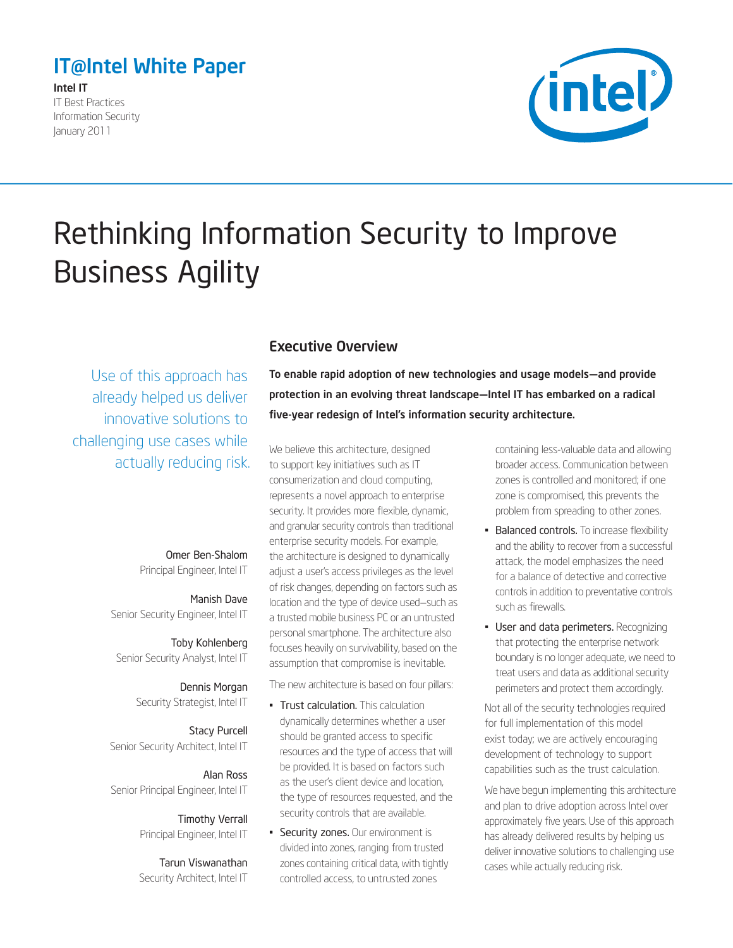# <span id="page-0-0"></span>IT@Intel White Paper

Intel IT IT Best Practices

Information Security January 2011



# Rethinking Information Security to Improve Business Agility

Use of this approach has already helped us deliver innovative solutions to challenging use cases while actually reducing risk.

> Omer Ben-Shalom Principal Engineer, Intel IT

Manish Dave Senior Security Engineer, Intel IT

Toby Kohlenberg Senior Security Analyst, Intel IT

> Dennis Morgan Security Strategist, Intel IT

Stacy Purcell Senior Security Architect, Intel IT

Alan Ross Senior Principal Engineer, Intel IT

> Timothy Verrall Principal Engineer, Intel IT

> Tarun Viswanathan Security Architect, Intel IT

# Executive Overview

To enable rapid adoption of new technologies and usage models—and provide protection in an evolving threat landscape—Intel IT has embarked on a radical five-year redesign of Intel's information security architecture.

We believe this architecture, designed to support key initiatives such as IT consumerization and cloud computing, represents a novel approach to enterprise security. It provides more flexible, dynamic, and granular security controls than traditional enterprise security models. For example, the architecture is designed to dynamically adjust a user's access privileges as the level of risk changes, depending on factors such as location and the type of device used—such as a trusted mobile business PC or an untrusted personal smartphone. The architecture also focuses heavily on survivability, based on the assumption that compromise is inevitable.

The new architecture is based on four pillars:

- Trust calculation. This calculation dynamically determines whether a user should be granted access to specific resources and the type of access that will be provided. It is based on factors such as the user's client device and location, the type of resources requested, and the security controls that are available.
- **Security zones.** Our environment is divided into zones, ranging from trusted zones containing critical data, with tightly controlled access, to untrusted zones

containing less-valuable data and allowing broader access. Communication between zones is controlled and monitored; if one zone is compromised, this prevents the problem from spreading to other zones.

- Balanced controls. To increase flexibility and the ability to recover from a successful attack, the model emphasizes the need for a balance of detective and corrective controls in addition to preventative controls such as firewalls.
- User and data perimeters. Recognizing that protecting the enterprise network boundary is no longer adequate, we need to treat users and data as additional security perimeters and protect them accordingly.

Not all of the security technologies required for full implementation of this model exist today; we are actively encouraging development of technology to support capabilities such as the trust calculation.

We have begun implementing this architecture and plan to drive adoption across Intel over approximately five years. Use of this approach has already delivered results by helping us deliver innovative solutions to challenging use cases while actually reducing risk.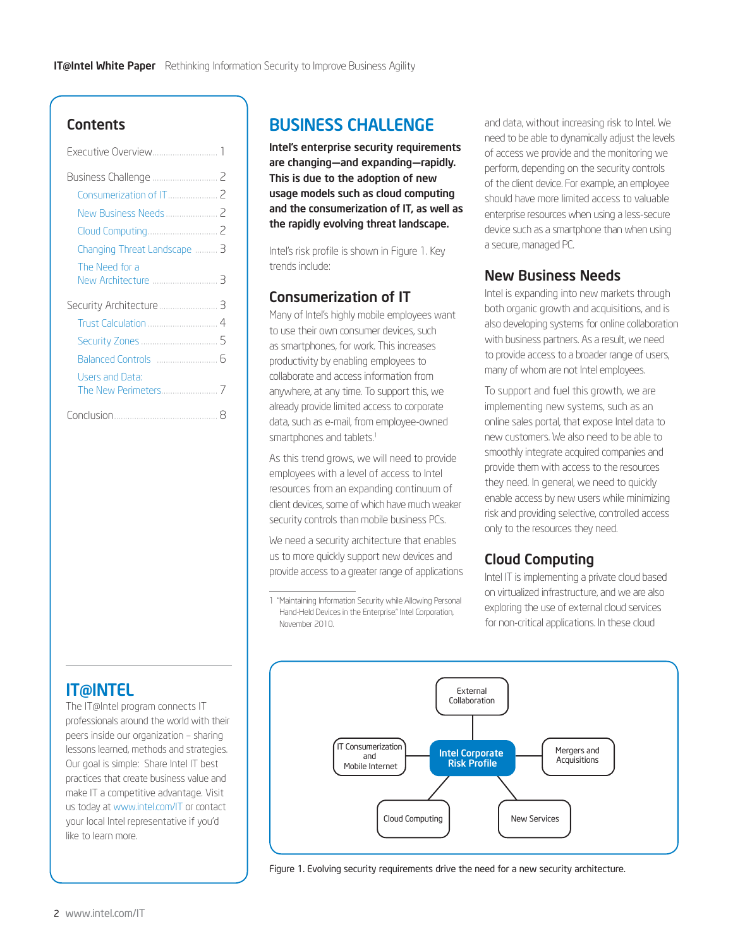## **Contents**

| Changing Threat Landscape  3 |  |
|------------------------------|--|
| The Need for a               |  |
|                              |  |
|                              |  |
|                              |  |
|                              |  |
| Users and Data:              |  |
|                              |  |

# IT@INTEL

The IT@Intel program connects IT professionals around the world with their peers inside our organization – sharing lessons learned, methods and strategies. Our goal is simple: Share Intel IT best practices that create business value and make IT a competitive advantage. Visit us today at [www.intel.com/IT](http://www.intel.com/IT) or contact your local Intel representative if you'd like to learn more.

# BUSINESS CHALLENGE

Intel's enterprise security requirements are changing—and expanding—rapidly. This is due to the adoption of new usage models such as cloud computing and the consumerization of IT, as well as the rapidly evolving threat landscape.

Intel's risk profile is shown in Figure 1. Key trends include:

# Consumerization of IT

Many of Intel's highly mobile employees want to use their own consumer devices, such as smartphones, for work. This increases productivity by enabling employees to collaborate and access information from anywhere, at any time. To support this, we already provide limited access to corporate data, such as e-mail, from employee-owned smartphones and tablets.<sup>1</sup>

As this trend grows, we will need to provide employees with a level of access to Intel resources from an expanding continuum of client devices, some of which have much weaker security controls than mobile business PCs.

We need a security architecture that enables us to more quickly support new devices and provide access to a greater range of applications

and data, without increasing risk to Intel. We need to be able to dynamically adjust the levels of access we provide and the monitoring we perform, depending on the security controls of the client device. For example, an employee should have more limited access to valuable enterprise resources when using a less-secure device such as a smartphone than when using a secure, managed PC.

## New Business Needs

Intel is expanding into new markets through both organic growth and acquisitions, and is also developing systems for online collaboration with business partners. As a result, we need to provide access to a broader range of users, many of whom are not Intel employees.

To support and fuel this growth, we are implementing new systems, such as an online sales portal, that expose Intel data to new customers. We also need to be able to smoothly integrate acquired companies and provide them with access to the resources they need. In general, we need to quickly enable access by new users while minimizing risk and providing selective, controlled access only to the resources they need.

# Cloud Computing

Intel IT is implementing a private cloud based on virtualized infrastructure, and we are also exploring the use of external cloud services for non-critical applications. In these cloud



Figure 1. Evolving security requirements drive the need for a new security architecture.

<sup>1</sup> "Maintaining Information Security while Allowing Personal Hand-Held Devices in the Enterprise." Intel Corporation, November 2010.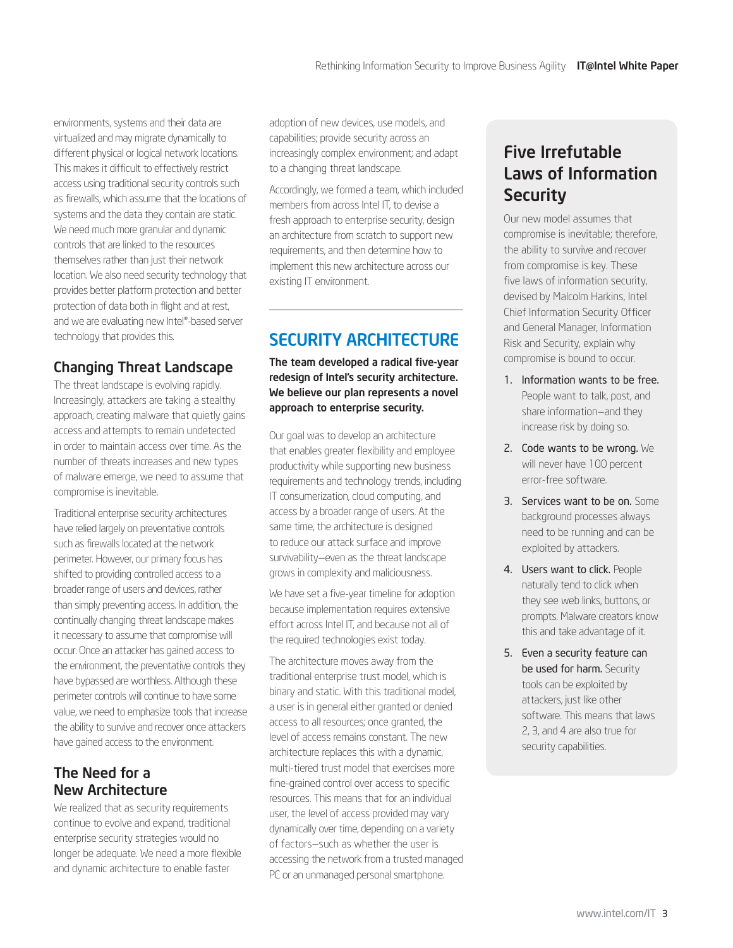<span id="page-2-0"></span>environments, systems and their data are virtualized and may migrate dynamically to different physical or logical network locations. This makes it difficult to effectively restrict access using traditional security controls such as firewalls, which assume that the locations of systems and the data they contain are static. We need much more granular and dynamic controls that are linked to the resources themselves rather than just their network location. We also need security technology that provides better platform protection and better protection of data both in flight and at rest, and we are evaluating new Intel®-based server technology that provides this.

# Changing Threat Landscape

The threat landscape is evolving rapidly. Increasingly, attackers are taking a stealthy approach, creating malware that quietly gains access and attempts to remain undetected in order to maintain access over time. As the number of threats increases and new types of malware emerge, we need to assume that compromise is inevitable.

Traditional enterprise security architectures have relied largely on preventative controls such as firewalls located at the network perimeter. However, our primary focus has shifted to providing controlled access to a broader range of users and devices, rather than simply preventing access. In addition, the continually changing threat landscape makes it necessary to assume that compromise will occur. Once an attacker has gained access to the environment, the preventative controls they have bypassed are worthless. Although these perimeter controls will continue to have some value, we need to emphasize tools that increase the ability to survive and recover once attackers have gained access to the environment.

# The Need for a New Architecture

We realized that as security requirements continue to evolve and expand, traditional enterprise security strategies would no longer be adequate. We need a more flexible and dynamic architecture to enable faster

adoption of new devices, use models, and capabilities; provide security across an increasingly complex environment; and adapt to a changing threat landscape.

Accordingly, we formed a team, which included members from across Intel IT, to devise a fresh approach to enterprise security, design an architecture from scratch to support new requirements, and then determine how to implement this new architecture across our existing IT environment.

# SECURITY ARCHITECTURE

The team developed a radical five-year redesign of Intel's security architecture. We believe our plan represents a novel approach to enterprise security.

Our goal was to develop an architecture that enables greater flexibility and employee productivity while supporting new business requirements and technology trends, including IT consumerization, cloud computing, and access by a broader range of users. At the same time, the architecture is designed to reduce our attack surface and improve survivability—even as the threat landscape grows in complexity and maliciousness.

We have set a five-year timeline for adoption because implementation requires extensive effort across Intel IT, and because not all of the required technologies exist today.

The architecture moves away from the traditional enterprise trust model, which is binary and static. With this traditional model, a user is in general either granted or denied access to all resources; once granted, the level of access remains constant. The new architecture replaces this with a dynamic, multi-tiered trust model that exercises more fine-grained control over access to specific resources. This means that for an individual user, the level of access provided may vary dynamically over time, depending on a variety of factors—such as whether the user is accessing the network from a trusted managed PC or an unmanaged personal smartphone.

# Five Irrefutable Laws of Information **Security**

Our new model assumes that compromise is inevitable; therefore, the ability to survive and recover from compromise is key. These five laws of information security, devised by Malcolm Harkins, Intel Chief Information Security Officer and General Manager, Information Risk and Security, explain why compromise is bound to occur.

- 1. Information wants to be free. People want to talk, post, and share information—and they increase risk by doing so.
- 2. Code wants to be wrong. We will never have 100 percent error-free software.
- 3. Services want to be on. Some background processes always need to be running and can be exploited by attackers.
- 4. Users want to click. People naturally tend to click when they see web links, buttons, or prompts. Malware creators know this and take advantage of it.
- 5. Even a security feature can be used for harm. Security tools can be exploited by attackers, just like other software. This means that laws 2, 3, and 4 are also true for security capabilities.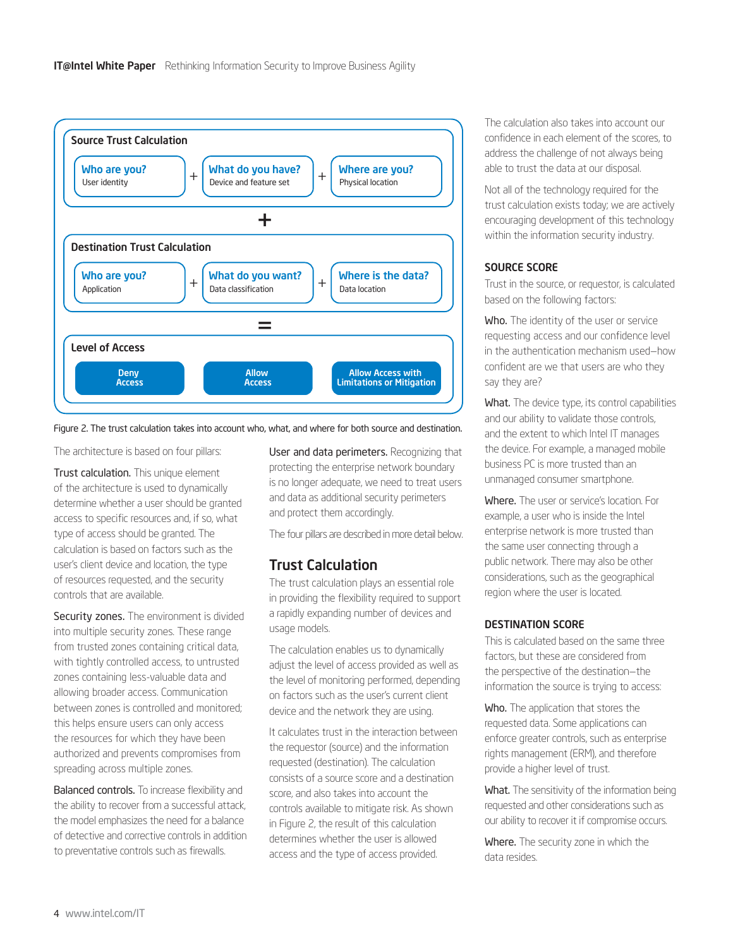<span id="page-3-0"></span>

Figure 2. The trust calculation takes into account who, what, and where for both source and destination.

The architecture is based on four pillars:

Trust calculation. This unique element of the architecture is used to dynamically determine whether a user should be granted access to specific resources and, if so, what type of access should be granted. The calculation is based on factors such as the user's client device and location, the type of resources requested, and the security controls that are available.

Security zones. The environment is divided into multiple security zones. These range from trusted zones containing critical data, with tightly controlled access, to untrusted zones containing less-valuable data and allowing broader access. Communication between zones is controlled and monitored; this helps ensure users can only access the resources for which they have been authorized and prevents compromises from spreading across multiple zones.

Balanced controls. To increase flexibility and the ability to recover from a successful attack, the model emphasizes the need for a balance of detective and corrective controls in addition to preventative controls such as firewalls.

User and data perimeters. Recognizing that protecting the enterprise network boundary is no longer adequate, we need to treat users and data as additional security perimeters and protect them accordingly.

The four pillars are described in more detail below.

### Trust Calculation

The trust calculation plays an essential role in providing the flexibility required to support a rapidly expanding number of devices and usage models.

The calculation enables us to dynamically adjust the level of access provided as well as the level of monitoring performed, depending on factors such as the user's current client device and the network they are using.

It calculates trust in the interaction between the requestor (source) and the information requested (destination). The calculation consists of a source score and a destination score, and also takes into account the controls available to mitigate risk. As shown in Figure 2, the result of this calculation determines whether the user is allowed access and the type of access provided.

The calculation also takes into account our confidence in each element of the scores, to address the challenge of not always being able to trust the data at our disposal.

Not all of the technology required for the trust calculation exists today; we are actively encouraging development of this technology within the information security industry.

#### SOURCE SCORE

Trust in the source, or requestor, is calculated based on the following factors:

Who. The identity of the user or service requesting access and our confidence level in the authentication mechanism used—how confident are we that users are who they say they are?

What. The device type, its control capabilities and our ability to validate those controls, and the extent to which Intel IT manages the device. For example, a managed mobile business PC is more trusted than an unmanaged consumer smartphone.

Where. The user or service's location. For example, a user who is inside the Intel enterprise network is more trusted than the same user connecting through a public network. There may also be other considerations, such as the geographical region where the user is located.

#### DESTINATION SCORE

This is calculated based on the same three factors, but these are considered from the perspective of the destination—the information the source is trying to access:

Who. The application that stores the requested data. Some applications can enforce greater controls, such as enterprise rights management (ERM), and therefore provide a higher level of trust.

What. The sensitivity of the information being requested and other considerations such as our ability to recover it if compromise occurs.

Where. The security zone in which the data resides.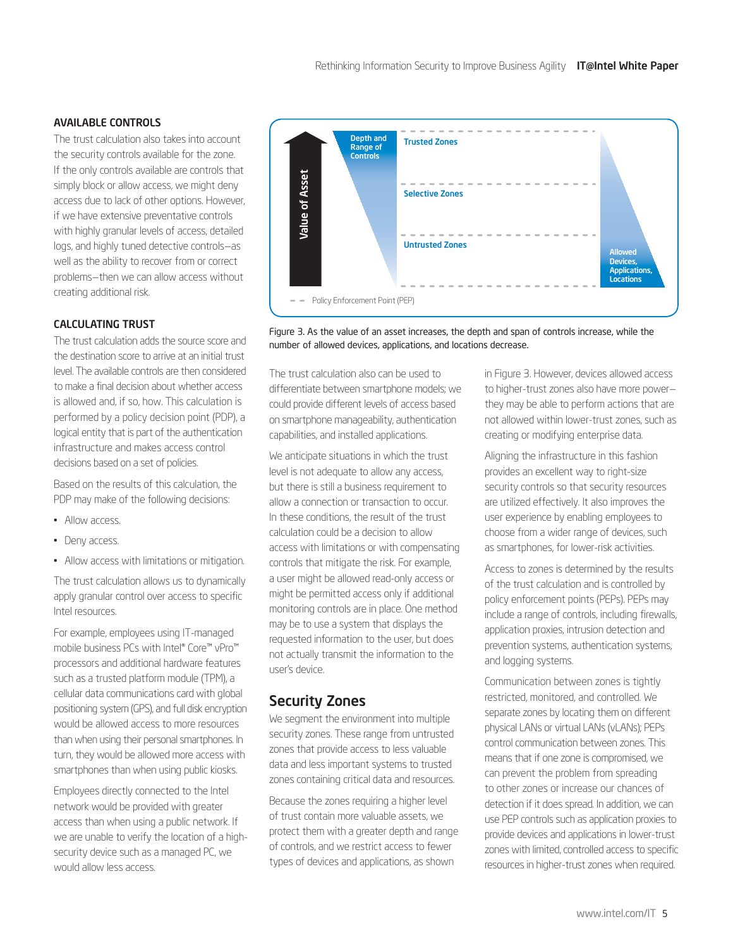#### <span id="page-4-0"></span>AVAILABLE CONTROLS

The trust calculation also takes into account the security controls available for the zone. If the only controls available are controls that simply block or allow access, we might deny access due to lack of other options. However, if we have extensive preventative controls with highly granular levels of access, detailed logs, and highly tuned detective controls—as well as the ability to recover from or correct problems—then we can allow access without creating additional risk.

#### CALCULATING TRUST

The trust calculation adds the source score and the destination score to arrive at an initial trust level. The available controls are then considered to make a final decision about whether access is allowed and, if so, how. This calculation is performed by a policy decision point (PDP), a logical entity that is part of the authentication infrastructure and makes access control decisions based on a set of policies.

Based on the results of this calculation, the PDP may make of the following decisions:

- Allow access.
- Deny access.
- Allow access with limitations or mitigation.

The trust calculation allows us to dynamically apply granular control over access to specific Intel resources.

For example, employees using IT-managed mobile business PCs with Intel® Core™ vPro™ processors and additional hardware features such as a trusted platform module (TPM), a cellular data communications card with global positioning system (GPS), and full disk encryption would be allowed access to more resources than when using their personal smartphones. In turn, they would be allowed more access with smartphones than when using public kiosks.

Employees directly connected to the Intel network would be provided with greater access than when using a public network. If we are unable to verify the location of a highsecurity device such as a managed PC, we would allow less access.



Figure 3. As the value of an asset increases, the depth and span of controls increase, while the number of allowed devices, applications, and locations decrease.

The trust calculation also can be used to differentiate between smartphone models; we could provide different levels of access based on smartphone manageability, authentication capabilities, and installed applications.

We anticipate situations in which the trust level is not adequate to allow any access, but there is still a business requirement to allow a connection or transaction to occur. In these conditions, the result of the trust calculation could be a decision to allow access with limitations or with compensating controls that mitigate the risk. For example, a user might be allowed read-only access or might be permitted access only if additional monitoring controls are in place. One method may be to use a system that displays the requested information to the user, but does not actually transmit the information to the user's device.

# Security Zones

We segment the environment into multiple security zones. These range from untrusted zones that provide access to less valuable data and less important systems to trusted zones containing critical data and resources.

Because the zones requiring a higher level of trust contain more valuable assets, we protect them with a greater depth and range of controls, and we restrict access to fewer types of devices and applications, as shown

in Figure 3. However, devices allowed access to higher-trust zones also have more power they may be able to perform actions that are not allowed within lower-trust zones, such as creating or modifying enterprise data.

Aligning the infrastructure in this fashion provides an excellent way to right-size security controls so that security resources are utilized effectively. It also improves the user experience by enabling employees to choose from a wider range of devices, such as smartphones, for lower-risk activities.

Access to zones is determined by the results of the trust calculation and is controlled by policy enforcement points (PEPs). PEPs may include a range of controls, including firewalls, application proxies, intrusion detection and prevention systems, authentication systems, and logging systems.

Communication between zones is tightly restricted, monitored, and controlled. We separate zones by locating them on different physical LANs or virtual LANs (vLANs); PEPs control communication between zones. This means that if one zone is compromised, we can prevent the problem from spreading to other zones or increase our chances of detection if it does spread. In addition, we can use PEP controls such as application proxies to provide devices and applications in lower-trust zones with limited, controlled access to specific resources in higher-trust zones when required.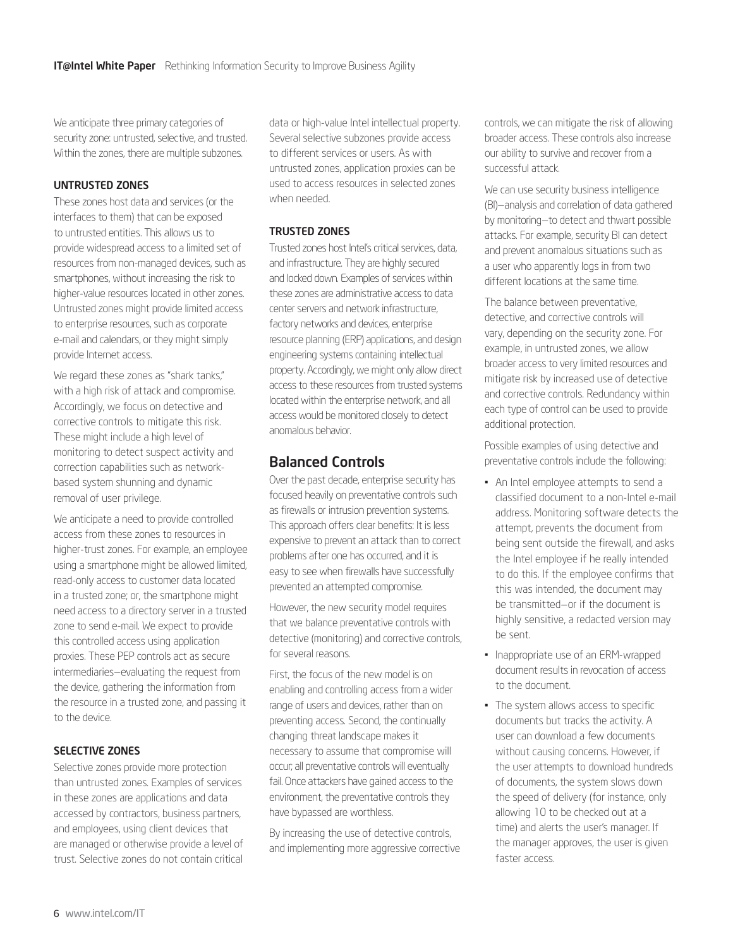<span id="page-5-0"></span>We anticipate three primary categories of security zone: untrusted, selective, and trusted. Within the zones, there are multiple subzones.

#### UNTRUSTED ZONES

These zones host data and services (or the interfaces to them) that can be exposed to untrusted entities. This allows us to provide widespread access to a limited set of resources from non-managed devices, such as smartphones, without increasing the risk to higher-value resources located in other zones. Untrusted zones might provide limited access to enterprise resources, such as corporate e-mail and calendars, or they might simply provide Internet access.

We regard these zones as "shark tanks," with a high risk of attack and compromise. Accordingly, we focus on detective and corrective controls to mitigate this risk. These might include a high level of monitoring to detect suspect activity and correction capabilities such as networkbased system shunning and dynamic removal of user privilege.

We anticipate a need to provide controlled access from these zones to resources in higher-trust zones. For example, an employee using a smartphone might be allowed limited, read-only access to customer data located in a trusted zone; or, the smartphone might need access to a directory server in a trusted zone to send e-mail. We expect to provide this controlled access using application proxies. These PEP controls act as secure intermediaries—evaluating the request from the device, gathering the information from the resource in a trusted zone, and passing it to the device.

#### SELECTIVE ZONES

Selective zones provide more protection than untrusted zones. Examples of services in these zones are applications and data accessed by contractors, business partners, and employees, using client devices that are managed or otherwise provide a level of trust. Selective zones do not contain critical data or high-value Intel intellectual property. Several selective subzones provide access to different services or users. As with untrusted zones, application proxies can be used to access resources in selected zones when needed.

#### TRUSTED ZONES

Trusted zones host Intel's critical services, data, and infrastructure. They are highly secured and locked down. Examples of services within these zones are administrative access to data center servers and network infrastructure, factory networks and devices, enterprise resource planning (ERP) applications, and design engineering systems containing intellectual property. Accordingly, we might only allow direct access to these resources from trusted systems located within the enterprise network, and all access would be monitored closely to detect anomalous behavior.

# Balanced Controls

Over the past decade, enterprise security has focused heavily on preventative controls such as firewalls or intrusion prevention systems. This approach offers clear benefits: It is less expensive to prevent an attack than to correct problems after one has occurred, and it is easy to see when firewalls have successfully prevented an attempted compromise.

However, the new security model requires that we balance preventative controls with detective (monitoring) and corrective controls, for several reasons.

First, the focus of the new model is on enabling and controlling access from a wider range of users and devices, rather than on preventing access. Second, the continually changing threat landscape makes it necessary to assume that compromise will occur; all preventative controls will eventually fail. Once attackers have gained access to the environment, the preventative controls they have bypassed are worthless.

By increasing the use of detective controls, and implementing more aggressive corrective

controls, we can mitigate the risk of allowing broader access. These controls also increase our ability to survive and recover from a successful attack.

We can use security business intelligence (BI)—analysis and correlation of data gathered by monitoring—to detect and thwart possible attacks. For example, security BI can detect and prevent anomalous situations such as a user who apparently logs in from two different locations at the same time.

The balance between preventative, detective, and corrective controls will vary, depending on the security zone. For example, in untrusted zones, we allow broader access to very limited resources and mitigate risk by increased use of detective and corrective controls. Redundancy within each type of control can be used to provide additional protection.

Possible examples of using detective and preventative controls include the following:

- An Intel employee attempts to send a classified document to a non-Intel e-mail address. Monitoring software detects the attempt, prevents the document from being sent outside the firewall, and asks the Intel employee if he really intended to do this. If the employee confirms that this was intended, the document may be transmitted—or if the document is highly sensitive, a redacted version may be sent.
- Inappropriate use of an ERM-wrapped document results in revocation of access to the document.
- The system allows access to specific documents but tracks the activity. A user can download a few documents without causing concerns. However, if the user attempts to download hundreds of documents, the system slows down the speed of delivery (for instance, only allowing 10 to be checked out at a time) and alerts the user's manager. If the manager approves, the user is given faster access.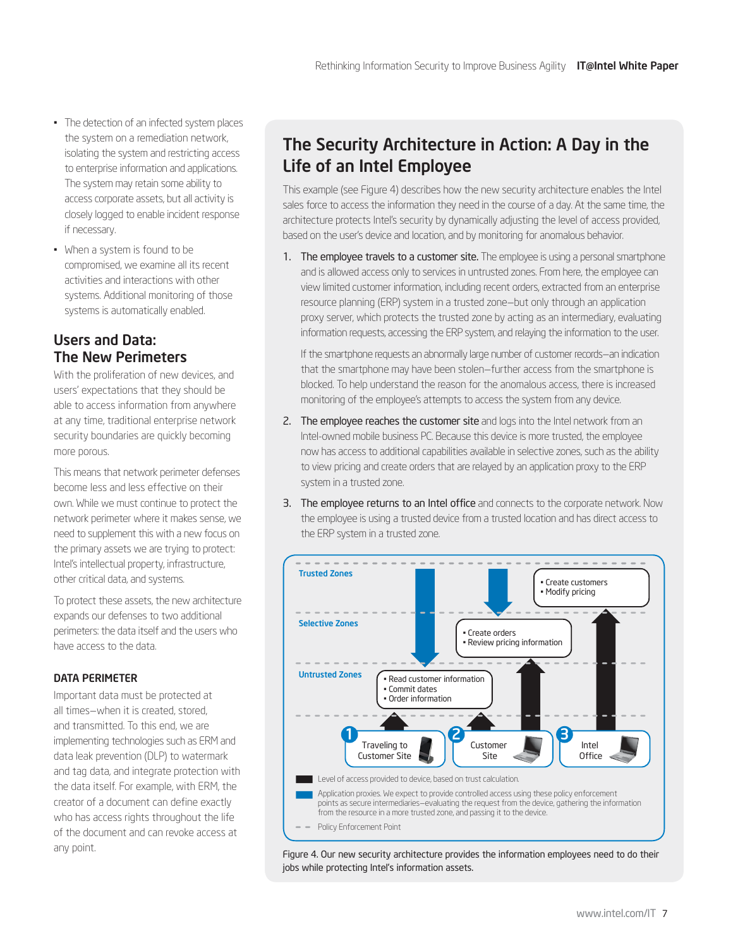- <span id="page-6-0"></span>• The detection of an infected system places the system on a remediation network, isolating the system and restricting access to enterprise information and applications. The system may retain some ability to access corporate assets, but all activity is closely logged to enable incident response if necessary.
- When a system is found to be compromised, we examine all its recent activities and interactions with other systems. Additional monitoring of those systems is automatically enabled.

# Users and Data: The New Perimeters

With the proliferation of new devices, and users' expectations that they should be able to access information from anywhere at any time, traditional enterprise network security boundaries are quickly becoming more porous.

This means that network perimeter defenses become less and less effective on their own. While we must continue to protect the network perimeter where it makes sense, we need to supplement this with a new focus on the primary assets we are trying to protect: Intel's intellectual property, infrastructure, other critical data, and systems.

To protect these assets, the new architecture expands our defenses to two additional perimeters: the data itself and the users who have access to the data.

### DATA PERIMETER

Important data must be protected at all times—when it is created, stored, and transmitted. To this end, we are implementing technologies such as ERM and data leak prevention (DLP) to watermark and tag data, and integrate protection with the data itself. For example, with ERM, the creator of a document can define exactly who has access rights throughout the life of the document and can revoke access at any point.

# The Security Architecture in Action: A Day in the Life of an Intel Employee

This example (see Figure 4) describes how the new security architecture enables the Intel sales force to access the information they need in the course of a day. At the same time, the architecture protects Intel's security by dynamically adjusting the level of access provided, based on the user's device and location, and by monitoring for anomalous behavior.

1. The employee travels to a customer site. The employee is using a personal smartphone and is allowed access only to services in untrusted zones. From here, the employee can view limited customer information, including recent orders, extracted from an enterprise resource planning (ERP) system in a trusted zone—but only through an application proxy server, which protects the trusted zone by acting as an intermediary, evaluating information requests, accessing the ERP system, and relaying the information to the user.

If the smartphone requests an abnormally large number of customer records—an indication that the smartphone may have been stolen—further access from the smartphone is blocked. To help understand the reason for the anomalous access, there is increased monitoring of the employee's attempts to access the system from any device.

- 2. The employee reaches the customer site and logs into the Intel network from an Intel-owned mobile business PC. Because this device is more trusted, the employee now has access to additional capabilities available in selective zones, such as the ability to view pricing and create orders that are relayed by an application proxy to the ERP system in a trusted zone.
- 3. The employee returns to an Intel office and connects to the corporate network. Now the employee is using a trusted device from a trusted location and has direct access to the ERP system in a trusted zone.



Figure 4. Our new security architecture provides the information employees need to do their jobs while protecting Intel's information assets.